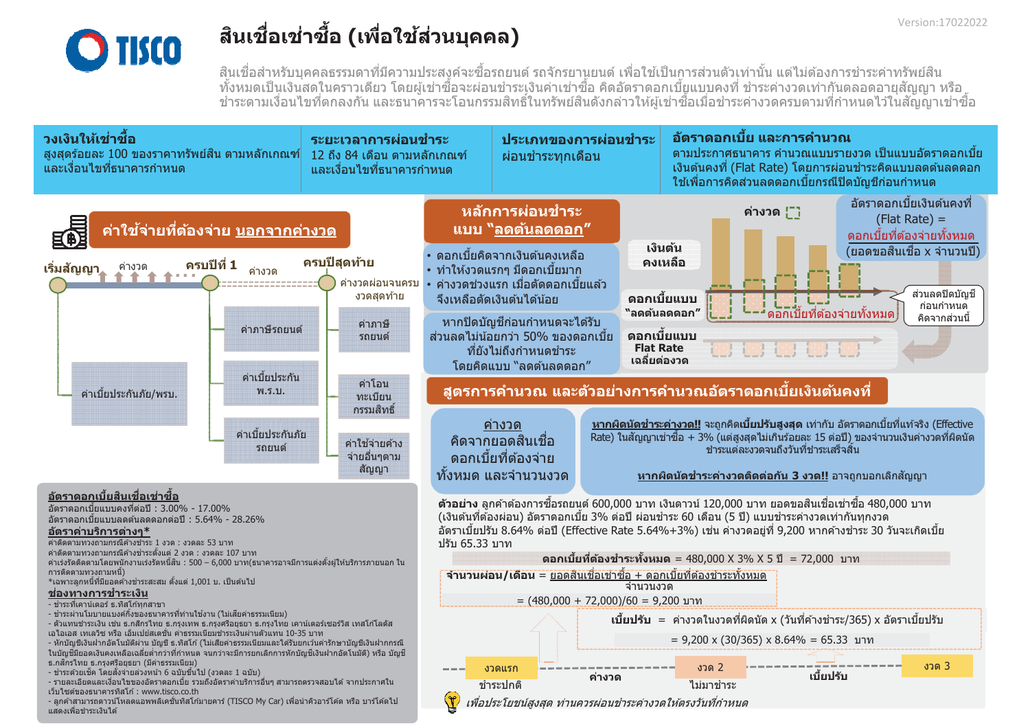

## ้สินเชื่อเช่าชื้อ (เพื่อใช้ส่วนบุคคล)

้สินเชื่อสำหรับบคคลธรรมดาที่มีความประสงค์จะซื้อรถยนต์ รถจักรยานยนต์ เพื่อใช้เป็นการส่วนตัวเท่านั้น แต่ไม่ต้องการชำระค่าทรัพย์สิน ้ทั้งหมดเป็นเงินสดในคราวเดียว โดยผ้เช่าซื้อจะผ่อนชำระเงินค่าเช่าซื้อ คิดอัตราดอกเบี้ยแบบคงที่ ชำระค่างวดเท่ากันตลอดอายสัญญา หรือ ่ ชำระตามเงื่อนไขที่ตกลงกัน และธนาคารจะโอนกรรมสิทธิ์ในทรัพย์สินดังกล่าวให้ผู้เช่าซื้อเมื่อชำระค่างวดครบตามที่กำหนดไว้ในสัญญาเช่าซื้อ